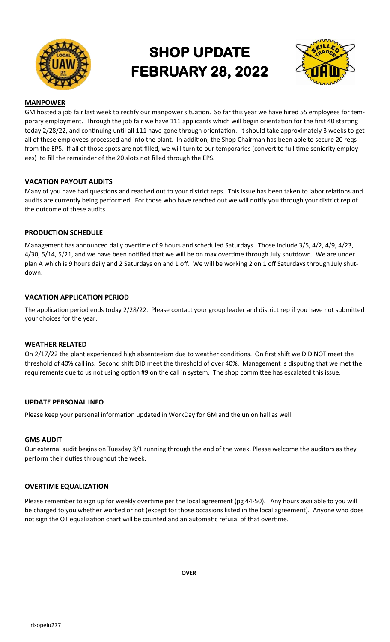

# **SHOP UPDATE FEBRUARY 28, 2022**



## **MANPOWER**

GM hosted a job fair last week to rectify our manpower situation. So far this year we have hired 55 employees for temporary employment. Through the job fair we have 111 applicants which will begin orientation for the first 40 starting today 2/28/22, and continuing until all 111 have gone through orientation. It should take approximately 3 weeks to get all of these employees processed and into the plant. In addition, the Shop Chairman has been able to secure 20 reqs from the EPS. If all of those spots are not filled, we will turn to our temporaries (convert to full time seniority employees) to fill the remainder of the 20 slots not filled through the EPS.

## **VACATION PAYOUT AUDITS**

Many of you have had questions and reached out to your district reps. This issue has been taken to labor relations and audits are currently being performed. For those who have reached out we will notify you through your district rep of the outcome of these audits.

### **PRODUCTION SCHEDULE**

Management has announced daily overtime of 9 hours and scheduled Saturdays. Those include 3/5, 4/2, 4/9, 4/23, 4/30, 5/14, 5/21, and we have been notified that we will be on max overtime through July shutdown. We are under plan A which is 9 hours daily and 2 Saturdays on and 1 off. We will be working 2 on 1 off Saturdays through July shutdown.

## **VACATION APPLICATION PERIOD**

The application period ends today 2/28/22. Please contact your group leader and district rep if you have not submitted your choices for the year.

#### **WEATHER RELATED**

On 2/17/22 the plant experienced high absenteeism due to weather conditions. On first shift we DID NOT meet the threshold of 40% call ins. Second shift DID meet the threshold of over 40%. Management is disputing that we met the requirements due to us not using option #9 on the call in system. The shop committee has escalated this issue.

#### **UPDATE PERSONAL INFO**

Please keep your personal information updated in WorkDay for GM and the union hall as well.

#### **GMS AUDIT**

Our external audit begins on Tuesday 3/1 running through the end of the week. Please welcome the auditors as they perform their duties throughout the week.

#### **OVERTIME EQUALIZATION**

Please remember to sign up for weekly overtime per the local agreement (pg 44-50). Any hours available to you will be charged to you whether worked or not (except for those occasions listed in the local agreement). Anyone who does not sign the OT equalization chart will be counted and an automatic refusal of that overtime.